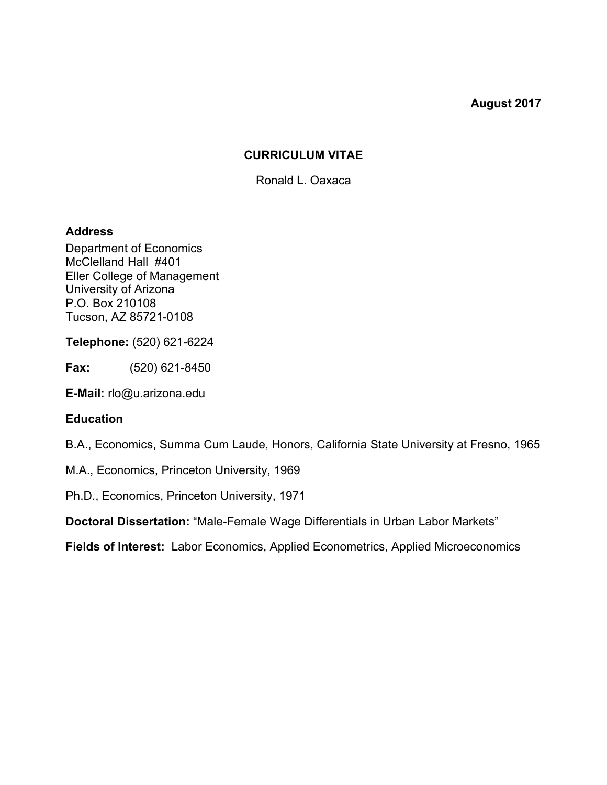#### **August 2017**

### **CURRICULUM VITAE**

Ronald L. Oaxaca

#### **Address**

Department of Economics McClelland Hall #401 Eller College of Management University of Arizona P.O. Box 210108 Tucson, AZ 85721-0108

**Telephone:** (520) 621-6224

**Fax:** (520) 621-8450

**E-Mail:** rlo@u.arizona.edu

#### **Education**

B.A., Economics, Summa Cum Laude, Honors, California State University at Fresno, 1965

M.A., Economics, Princeton University, 1969

Ph.D., Economics, Princeton University, 1971

**Doctoral Dissertation:** "Male-Female Wage Differentials in Urban Labor Markets"

**Fields of Interest:** Labor Economics, Applied Econometrics, Applied Microeconomics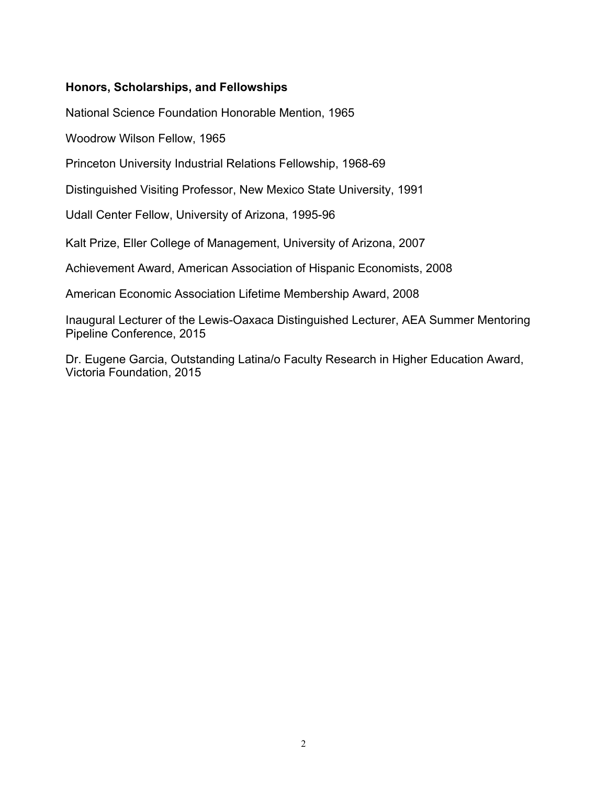### **Honors, Scholarships, and Fellowships**

National Science Foundation Honorable Mention, 1965

Woodrow Wilson Fellow, 1965

Princeton University Industrial Relations Fellowship, 1968-69

Distinguished Visiting Professor, New Mexico State University, 1991

Udall Center Fellow, University of Arizona, 1995-96

Kalt Prize, Eller College of Management, University of Arizona, 2007

Achievement Award, American Association of Hispanic Economists, 2008

American Economic Association Lifetime Membership Award, 2008

Inaugural Lecturer of the Lewis-Oaxaca Distinguished Lecturer, AEA Summer Mentoring Pipeline Conference, 2015

Dr. Eugene Garcia, Outstanding Latina/o Faculty Research in Higher Education Award, Victoria Foundation, 2015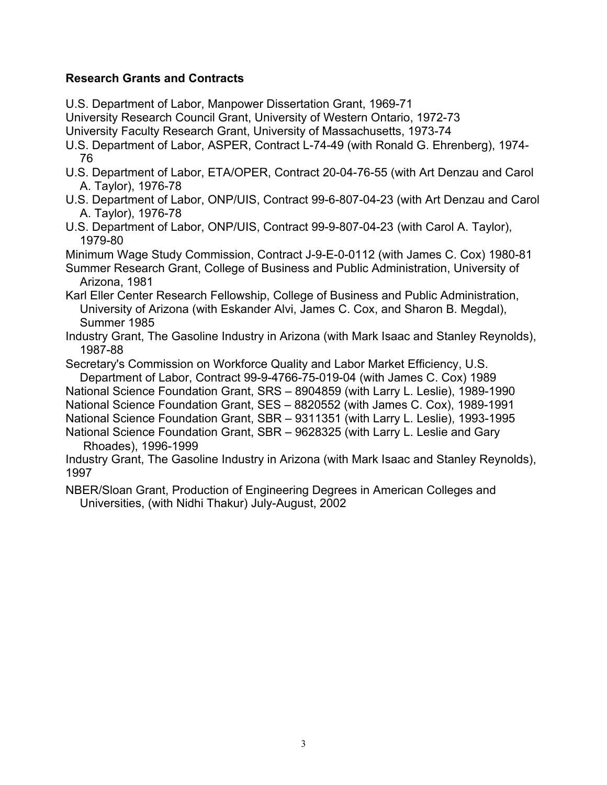# **Research Grants and Contracts**

U.S. Department of Labor, Manpower Dissertation Grant, 1969-71

University Research Council Grant, University of Western Ontario, 1972-73

University Faculty Research Grant, University of Massachusetts, 1973-74

- U.S. Department of Labor, ASPER, Contract L-74-49 (with Ronald G. Ehrenberg), 1974- 76
- U.S. Department of Labor, ETA/OPER, Contract 20-04-76-55 (with Art Denzau and Carol A. Taylor), 1976-78
- U.S. Department of Labor, ONP/UIS, Contract 99-6-807-04-23 (with Art Denzau and Carol A. Taylor), 1976-78
- U.S. Department of Labor, ONP/UIS, Contract 99-9-807-04-23 (with Carol A. Taylor), 1979-80

Minimum Wage Study Commission, Contract J-9-E-0-0112 (with James C. Cox) 1980-81

Summer Research Grant, College of Business and Public Administration, University of Arizona, 1981

Karl Eller Center Research Fellowship, College of Business and Public Administration, University of Arizona (with Eskander Alvi, James C. Cox, and Sharon B. Megdal), Summer 1985

Industry Grant, The Gasoline Industry in Arizona (with Mark Isaac and Stanley Reynolds), 1987-88

Secretary's Commission on Workforce Quality and Labor Market Efficiency, U.S. Department of Labor, Contract 99-9-4766-75-019-04 (with James C. Cox) 1989

National Science Foundation Grant, SRS – 8904859 (with Larry L. Leslie), 1989-1990

National Science Foundation Grant, SES – 8820552 (with James C. Cox), 1989-1991

National Science Foundation Grant, SBR – 9311351 (with Larry L. Leslie), 1993-1995

National Science Foundation Grant, SBR – 9628325 (with Larry L. Leslie and Gary Rhoades), 1996-1999

Industry Grant, The Gasoline Industry in Arizona (with Mark Isaac and Stanley Reynolds), 1997

NBER/Sloan Grant, Production of Engineering Degrees in American Colleges and Universities, (with Nidhi Thakur) July-August, 2002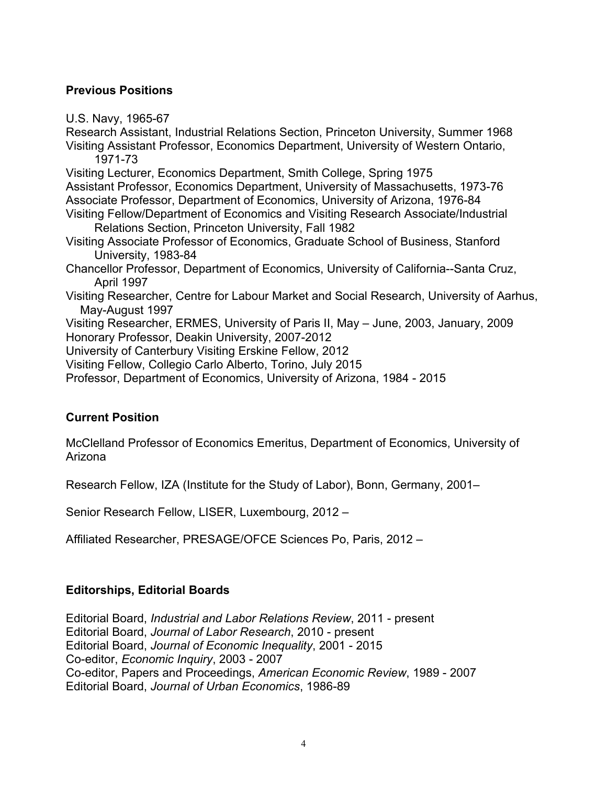# **Previous Positions**

U.S. Navy, 1965-67

Research Assistant, Industrial Relations Section, Princeton University, Summer 1968 Visiting Assistant Professor, Economics Department, University of Western Ontario, 1971-73 Visiting Lecturer, Economics Department, Smith College, Spring 1975 Assistant Professor, Economics Department, University of Massachusetts, 1973-76 Associate Professor, Department of Economics, University of Arizona, 1976-84 Visiting Fellow/Department of Economics and Visiting Research Associate/Industrial Relations Section, Princeton University, Fall 1982 Visiting Associate Professor of Economics, Graduate School of Business, Stanford University, 1983-84 Chancellor Professor, Department of Economics, University of California--Santa Cruz, April 1997 Visiting Researcher, Centre for Labour Market and Social Research, University of Aarhus, May-August 1997 Visiting Researcher, ERMES, University of Paris II, May – June, 2003, January, 2009 Honorary Professor, Deakin University, 2007-2012 University of Canterbury Visiting Erskine Fellow, 2012 Visiting Fellow, Collegio Carlo Alberto, Torino, July 2015 Professor, Department of Economics, University of Arizona, 1984 - 2015

# **Current Position**

McClelland Professor of Economics Emeritus, Department of Economics, University of Arizona

Research Fellow, IZA (Institute for the Study of Labor), Bonn, Germany, 2001–

Senior Research Fellow, LISER, Luxembourg, 2012 –

Affiliated Researcher, PRESAGE/OFCE Sciences Po, Paris, 2012 –

### **Editorships, Editorial Boards**

Editorial Board, *Industrial and Labor Relations Review*, 2011 - present Editorial Board, *Journal of Labor Research*, 2010 - present Editorial Board, *Journal of Economic Inequality*, 2001 - 2015 Co-editor, *Economic Inquiry*, 2003 - 2007 Co-editor, Papers and Proceedings, *American Economic Review*, 1989 - 2007 Editorial Board, *Journal of Urban Economics*, 1986-89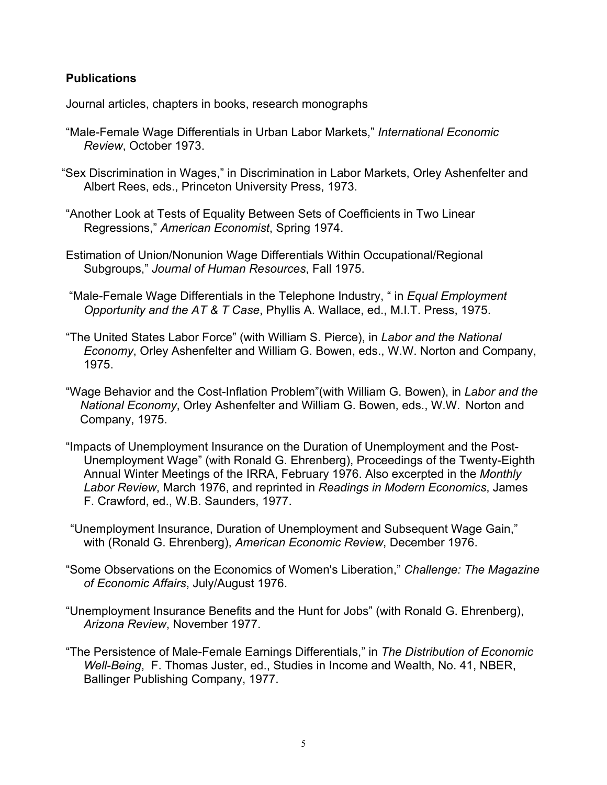# **Publications**

Journal articles, chapters in books, research monographs

- "Male-Female Wage Differentials in Urban Labor Markets," *International Economic Review*, October 1973.
- "Sex Discrimination in Wages," in Discrimination in Labor Markets, Orley Ashenfelter and Albert Rees, eds., Princeton University Press, 1973.
- "Another Look at Tests of Equality Between Sets of Coefficients in Two Linear Regressions," *American Economist*, Spring 1974.
- Estimation of Union/Nonunion Wage Differentials Within Occupational/Regional Subgroups," *Journal of Human Resources*, Fall 1975.
- "Male-Female Wage Differentials in the Telephone Industry, " in *Equal Employment Opportunity and the AT & T Case*, Phyllis A. Wallace, ed., M.I.T. Press, 1975.
- "The United States Labor Force" (with William S. Pierce), in *Labor and the National Economy*, Orley Ashenfelter and William G. Bowen, eds., W.W. Norton and Company, 1975.
- "Wage Behavior and the Cost-Inflation Problem"(with William G. Bowen), in *Labor and the National Economy*, Orley Ashenfelter and William G. Bowen, eds., W.W. Norton and Company, 1975.
- "Impacts of Unemployment Insurance on the Duration of Unemployment and the Post-Unemployment Wage" (with Ronald G. Ehrenberg), Proceedings of the Twenty-Eighth Annual Winter Meetings of the IRRA, February 1976. Also excerpted in the *Monthly Labor Review*, March 1976, and reprinted in *Readings in Modern Economics*, James F. Crawford, ed., W.B. Saunders, 1977.
- "Unemployment Insurance, Duration of Unemployment and Subsequent Wage Gain," with (Ronald G. Ehrenberg), *American Economic Review*, December 1976.
- "Some Observations on the Economics of Women's Liberation," *Challenge: The Magazine of Economic Affairs*, July/August 1976.
- "Unemployment Insurance Benefits and the Hunt for Jobs" (with Ronald G. Ehrenberg), *Arizona Review*, November 1977.
- "The Persistence of Male-Female Earnings Differentials," in *The Distribution of Economic Well-Being*, F. Thomas Juster, ed., Studies in Income and Wealth, No. 41, NBER, Ballinger Publishing Company, 1977.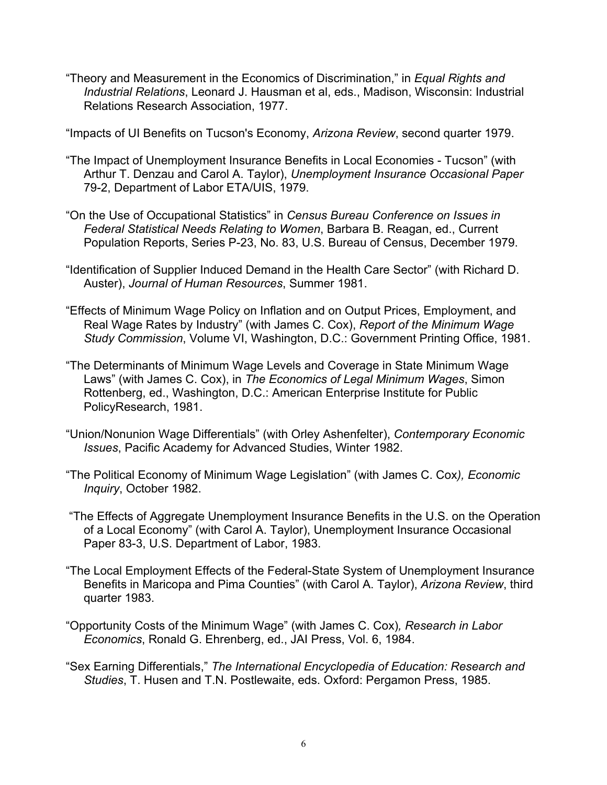"Theory and Measurement in the Economics of Discrimination," in *Equal Rights and Industrial Relations*, Leonard J. Hausman et al, eds., Madison, Wisconsin: Industrial Relations Research Association, 1977.

"Impacts of UI Benefits on Tucson's Economy, *Arizona Review*, second quarter 1979.

- "The Impact of Unemployment Insurance Benefits in Local Economies Tucson" (with Arthur T. Denzau and Carol A. Taylor), *Unemployment Insurance Occasional Paper* 79-2, Department of Labor ETA/UIS, 1979.
- "On the Use of Occupational Statistics" in *Census Bureau Conference on Issues in Federal Statistical Needs Relating to Women*, Barbara B. Reagan, ed., Current Population Reports, Series P-23, No. 83, U.S. Bureau of Census, December 1979.
- "Identification of Supplier Induced Demand in the Health Care Sector" (with Richard D. Auster), *Journal of Human Resources*, Summer 1981.
- "Effects of Minimum Wage Policy on Inflation and on Output Prices, Employment, and Real Wage Rates by Industry" (with James C. Cox), *Report of the Minimum Wage Study Commission*, Volume VI, Washington, D.C.: Government Printing Office, 1981.
- "The Determinants of Minimum Wage Levels and Coverage in State Minimum Wage Laws" (with James C. Cox), in *The Economics of Legal Minimum Wages*, Simon Rottenberg, ed., Washington, D.C.: American Enterprise Institute for Public PolicyResearch, 1981.
- "Union/Nonunion Wage Differentials" (with Orley Ashenfelter), *Contemporary Economic Issues*, Pacific Academy for Advanced Studies, Winter 1982.
- "The Political Economy of Minimum Wage Legislation" (with James C. Cox*), Economic Inquiry*, October 1982.
- "The Effects of Aggregate Unemployment Insurance Benefits in the U.S. on the Operation of a Local Economy" (with Carol A. Taylor), Unemployment Insurance Occasional Paper 83-3, U.S. Department of Labor, 1983.
- "The Local Employment Effects of the Federal-State System of Unemployment Insurance Benefits in Maricopa and Pima Counties" (with Carol A. Taylor), *Arizona Review*, third quarter 1983.
- "Opportunity Costs of the Minimum Wage" (with James C. Cox)*, Research in Labor Economics*, Ronald G. Ehrenberg, ed., JAI Press, Vol. 6, 1984.
- "Sex Earning Differentials," *The International Encyclopedia of Education: Research and Studies*, T. Husen and T.N. Postlewaite, eds. Oxford: Pergamon Press, 1985.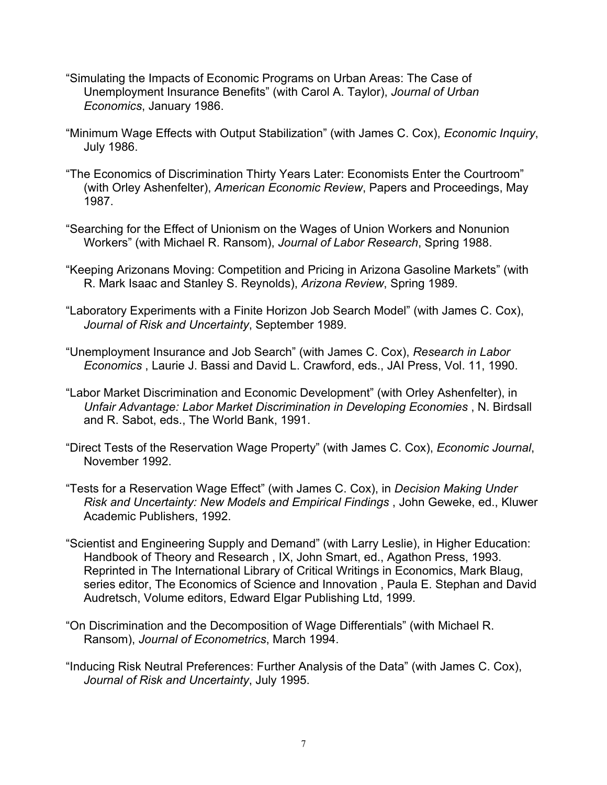- "Simulating the Impacts of Economic Programs on Urban Areas: The Case of Unemployment Insurance Benefits" (with Carol A. Taylor), *Journal of Urban Economics*, January 1986.
- "Minimum Wage Effects with Output Stabilization" (with James C. Cox), *Economic Inquiry*, July 1986.
- "The Economics of Discrimination Thirty Years Later: Economists Enter the Courtroom" (with Orley Ashenfelter), *American Economic Review*, Papers and Proceedings, May 1987.
- "Searching for the Effect of Unionism on the Wages of Union Workers and Nonunion Workers" (with Michael R. Ransom), *Journal of Labor Research*, Spring 1988.
- "Keeping Arizonans Moving: Competition and Pricing in Arizona Gasoline Markets" (with R. Mark Isaac and Stanley S. Reynolds), *Arizona Review*, Spring 1989.
- "Laboratory Experiments with a Finite Horizon Job Search Model" (with James C. Cox), *Journal of Risk and Uncertainty*, September 1989.
- "Unemployment Insurance and Job Search" (with James C. Cox), *Research in Labor Economics* , Laurie J. Bassi and David L. Crawford, eds., JAI Press, Vol. 11, 1990.
- "Labor Market Discrimination and Economic Development" (with Orley Ashenfelter), in *Unfair Advantage: Labor Market Discrimination in Developing Economies* , N. Birdsall and R. Sabot, eds., The World Bank, 1991.
- "Direct Tests of the Reservation Wage Property" (with James C. Cox), *Economic Journal*, November 1992.
- "Tests for a Reservation Wage Effect" (with James C. Cox), in *Decision Making Under Risk and Uncertainty: New Models and Empirical Findings* , John Geweke, ed., Kluwer Academic Publishers, 1992.
- "Scientist and Engineering Supply and Demand" (with Larry Leslie), in Higher Education: Handbook of Theory and Research , IX, John Smart, ed., Agathon Press, 1993. Reprinted in The International Library of Critical Writings in Economics, Mark Blaug, series editor, The Economics of Science and Innovation , Paula E. Stephan and David Audretsch, Volume editors, Edward Elgar Publishing Ltd, 1999.
- "On Discrimination and the Decomposition of Wage Differentials" (with Michael R. Ransom), *Journal of Econometrics*, March 1994.
- "Inducing Risk Neutral Preferences: Further Analysis of the Data" (with James C. Cox), *Journal of Risk and Uncertainty*, July 1995.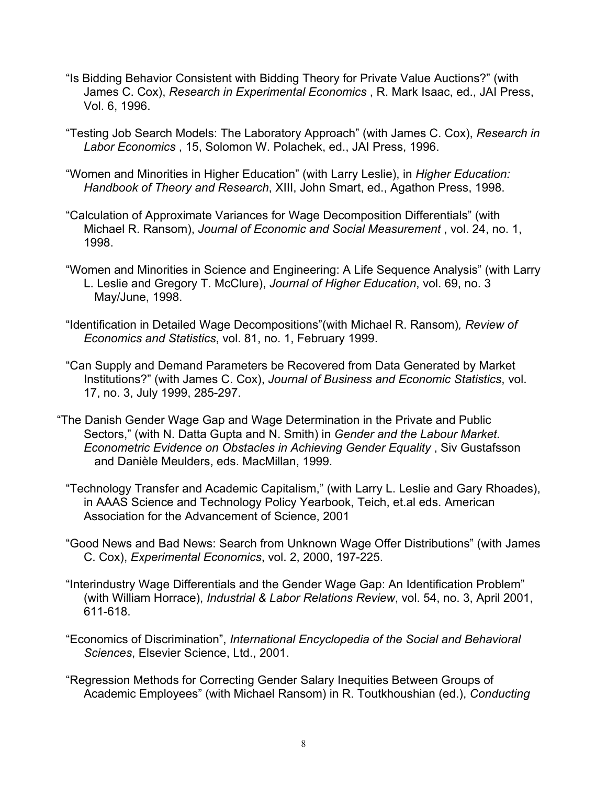- "Is Bidding Behavior Consistent with Bidding Theory for Private Value Auctions?" (with James C. Cox), *Research in Experimental Economics* , R. Mark Isaac, ed., JAI Press, Vol. 6, 1996.
- "Testing Job Search Models: The Laboratory Approach" (with James C. Cox), *Research in Labor Economics* , 15, Solomon W. Polachek, ed., JAI Press, 1996.
- "Women and Minorities in Higher Education" (with Larry Leslie), in *Higher Education: Handbook of Theory and Research*, XIII, John Smart, ed., Agathon Press, 1998.
- "Calculation of Approximate Variances for Wage Decomposition Differentials" (with Michael R. Ransom), *Journal of Economic and Social Measurement* , vol. 24, no. 1, 1998.
- "Women and Minorities in Science and Engineering: A Life Sequence Analysis" (with Larry L. Leslie and Gregory T. McClure), *Journal of Higher Education*, vol. 69, no. 3 May/June, 1998.
- "Identification in Detailed Wage Decompositions"(with Michael R. Ransom)*, Review of Economics and Statistics*, vol. 81, no. 1, February 1999.
- "Can Supply and Demand Parameters be Recovered from Data Generated by Market Institutions?" (with James C. Cox), *Journal of Business and Economic Statistics*, vol. 17, no. 3, July 1999, 285-297.
- "The Danish Gender Wage Gap and Wage Determination in the Private and Public Sectors," (with N. Datta Gupta and N. Smith) in *Gender and the Labour Market. Econometric Evidence on Obstacles in Achieving Gender Equality* , Siv Gustafsson and Danièle Meulders, eds. MacMillan, 1999.
	- "Technology Transfer and Academic Capitalism," (with Larry L. Leslie and Gary Rhoades), in AAAS Science and Technology Policy Yearbook, Teich, et.al eds. American Association for the Advancement of Science, 2001
	- "Good News and Bad News: Search from Unknown Wage Offer Distributions" (with James C. Cox), *Experimental Economics*, vol. 2, 2000, 197-225.
	- "Interindustry Wage Differentials and the Gender Wage Gap: An Identification Problem" (with William Horrace), *Industrial & Labor Relations Review*, vol. 54, no. 3, April 2001, 611-618.
	- "Economics of Discrimination", *International Encyclopedia of the Social and Behavioral Sciences*, Elsevier Science, Ltd., 2001.
	- "Regression Methods for Correcting Gender Salary Inequities Between Groups of Academic Employees" (with Michael Ransom) in R. Toutkhoushian (ed.), *Conducting*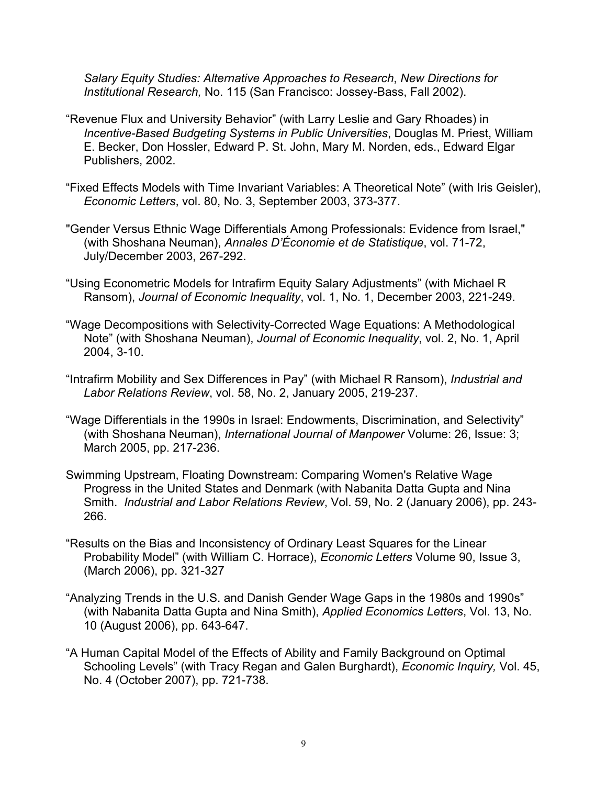*Salary Equity Studies: Alternative Approaches to Research*, *New Directions for Institutional Research,* No. 115 (San Francisco: Jossey-Bass, Fall 2002).

- "Revenue Flux and University Behavior" (with Larry Leslie and Gary Rhoades) in *Incentive-Based Budgeting Systems in Public Universities*, Douglas M. Priest, William E. Becker, Don Hossler, Edward P. St. John, Mary M. Norden, eds., Edward Elgar Publishers, 2002.
- "Fixed Effects Models with Time Invariant Variables: A Theoretical Note" (with Iris Geisler), *Economic Letters*, vol. 80, No. 3, September 2003, 373-377.
- "Gender Versus Ethnic Wage Differentials Among Professionals: Evidence from Israel," (with Shoshana Neuman), *Annales D'Économie et de Statistique*, vol. 71-72, July/December 2003, 267-292.
- "Using Econometric Models for Intrafirm Equity Salary Adjustments" (with Michael R Ransom), *Journal of Economic Inequality*, vol. 1, No. 1, December 2003, 221-249.
- "Wage Decompositions with Selectivity-Corrected Wage Equations: A Methodological Note" (with Shoshana Neuman), *Journal of Economic Inequality*, vol. 2, No. 1, April 2004, 3-10.
- "Intrafirm Mobility and Sex Differences in Pay" (with Michael R Ransom), *Industrial and Labor Relations Review*, vol. 58, No. 2, January 2005, 219-237.
- "Wage Differentials in the 1990s in Israel: Endowments, Discrimination, and Selectivity" (with Shoshana Neuman), *International Journal of Manpower* Volume: 26, Issue: 3; March 2005, pp. 217-236.
- Swimming Upstream, Floating Downstream: Comparing Women's Relative Wage Progress in the United States and Denmark (with Nabanita Datta Gupta and Nina Smith. *Industrial and Labor Relations Review*, Vol. 59, No. 2 (January 2006), pp. 243- 266.
- "Results on the Bias and Inconsistency of Ordinary Least Squares for the Linear Probability Model" (with William C. Horrace), *Economic Letters* Volume 90, Issue 3, (March 2006), pp. 321-327
- "Analyzing Trends in the U.S. and Danish Gender Wage Gaps in the 1980s and 1990s" (with Nabanita Datta Gupta and Nina Smith), *Applied Economics Letters*, Vol. 13, No. 10 (August 2006), pp. 643-647.
- "A Human Capital Model of the Effects of Ability and Family Background on Optimal Schooling Levels" (with Tracy Regan and Galen Burghardt), *Economic Inquiry,* Vol. 45, No. 4 (October 2007), pp. 721-738.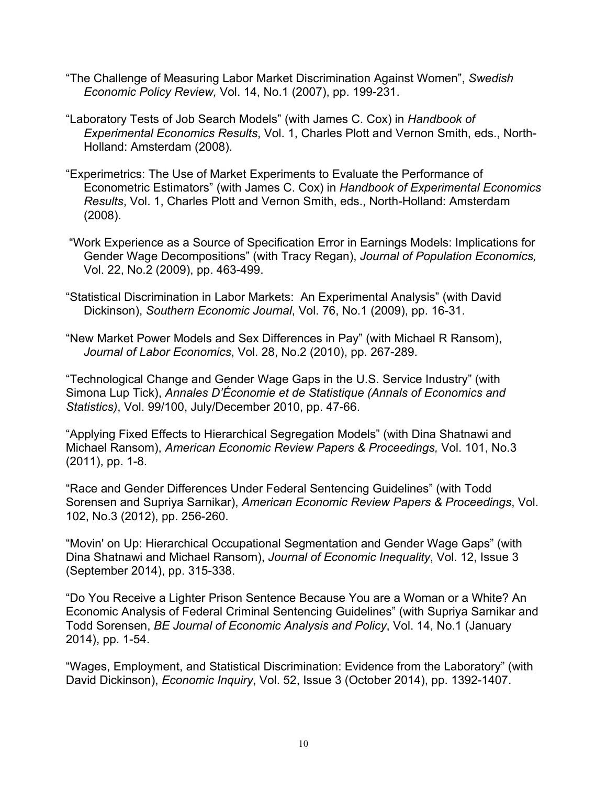- "The Challenge of Measuring Labor Market Discrimination Against Women", *Swedish Economic Policy Review,* Vol. 14, No.1 (2007), pp. 199-231.
- "Laboratory Tests of Job Search Models" (with James C. Cox) in *Handbook of Experimental Economics Results*, Vol. 1, Charles Plott and Vernon Smith, eds., North-Holland: Amsterdam (2008).
- "Experimetrics: The Use of Market Experiments to Evaluate the Performance of Econometric Estimators" (with James C. Cox) in *Handbook of Experimental Economics Results*, Vol. 1, Charles Plott and Vernon Smith, eds., North-Holland: Amsterdam (2008).
- "Work Experience as a Source of Specification Error in Earnings Models: Implications for Gender Wage Decompositions" (with Tracy Regan), *Journal of Population Economics,* Vol. 22, No.2 (2009), pp. 463-499.
- "Statistical Discrimination in Labor Markets: An Experimental Analysis" (with David Dickinson), *Southern Economic Journal*, Vol. 76, No.1 (2009), pp. 16-31.
- "New Market Power Models and Sex Differences in Pay" (with Michael R Ransom), *Journal of Labor Economics*, Vol. 28, No.2 (2010), pp. 267-289.

"Technological Change and Gender Wage Gaps in the U.S. Service Industry" (with Simona Lup Tick), *Annales D'Économie et de Statistique (Annals of Economics and Statistics)*, Vol. 99/100, July/December 2010, pp. 47-66.

"Applying Fixed Effects to Hierarchical Segregation Models" (with Dina Shatnawi and Michael Ransom), *American Economic Review Papers & Proceedings,* Vol. 101, No.3 (2011), pp. 1-8.

"Race and Gender Differences Under Federal Sentencing Guidelines" (with Todd Sorensen and Supriya Sarnikar), *American Economic Review Papers & Proceedings*, Vol. 102, No.3 (2012), pp. 256-260.

"Movin' on Up: Hierarchical Occupational Segmentation and Gender Wage Gaps" (with Dina Shatnawi and Michael Ransom), *Journal of Economic Inequality*, Vol. 12, Issue 3 (September 2014), pp. 315-338.

"Do You Receive a Lighter Prison Sentence Because You are a Woman or a White? An Economic Analysis of Federal Criminal Sentencing Guidelines" (with Supriya Sarnikar and Todd Sorensen, *BE Journal of Economic Analysis and Policy*, Vol. 14, No.1 (January 2014), pp. 1-54.

"Wages, Employment, and Statistical Discrimination: Evidence from the Laboratory" (with David Dickinson), *Economic Inquiry*, Vol. 52, Issue 3 (October 2014), pp. 1392-1407.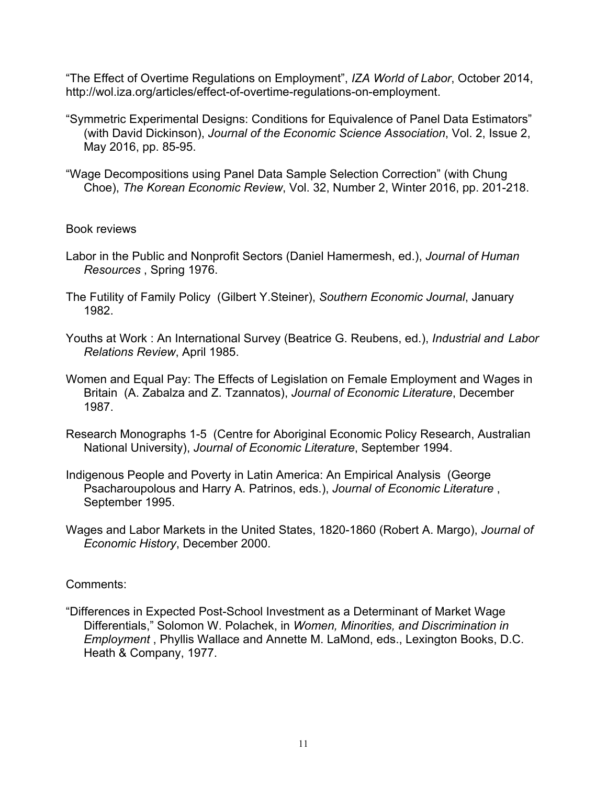"The Effect of Overtime Regulations on Employment", *IZA World of Labor*, October 2014, http://wol.iza.org/articles/effect-of-overtime-regulations-on-employment.

- "Symmetric Experimental Designs: Conditions for Equivalence of Panel Data Estimators" (with David Dickinson), *Journal of the Economic Science Association*, Vol. 2, Issue 2, May 2016, pp. 85-95.
- "Wage Decompositions using Panel Data Sample Selection Correction" (with Chung Choe), *The Korean Economic Review*, Vol. 32, Number 2, Winter 2016, pp. 201-218.

#### Book reviews

- Labor in the Public and Nonprofit Sectors (Daniel Hamermesh, ed.), *Journal of Human Resources* , Spring 1976.
- The Futility of Family Policy (Gilbert Y.Steiner), *Southern Economic Journal*, January 1982.
- Youths at Work : An International Survey (Beatrice G. Reubens, ed.), *Industrial and Labor Relations Review*, April 1985.
- Women and Equal Pay: The Effects of Legislation on Female Employment and Wages in Britain (A. Zabalza and Z. Tzannatos), *Journal of Economic Literature*, December 1987.
- Research Monographs 1-5 (Centre for Aboriginal Economic Policy Research, Australian National University), *Journal of Economic Literature*, September 1994.
- Indigenous People and Poverty in Latin America: An Empirical Analysis (George Psacharoupolous and Harry A. Patrinos, eds.), *Journal of Economic Literature* , September 1995.
- Wages and Labor Markets in the United States, 1820-1860 (Robert A. Margo), *Journal of Economic History*, December 2000.

### Comments:

"Differences in Expected Post-School Investment as a Determinant of Market Wage Differentials," Solomon W. Polachek, in *Women, Minorities, and Discrimination in Employment* , Phyllis Wallace and Annette M. LaMond, eds., Lexington Books, D.C. Heath & Company, 1977.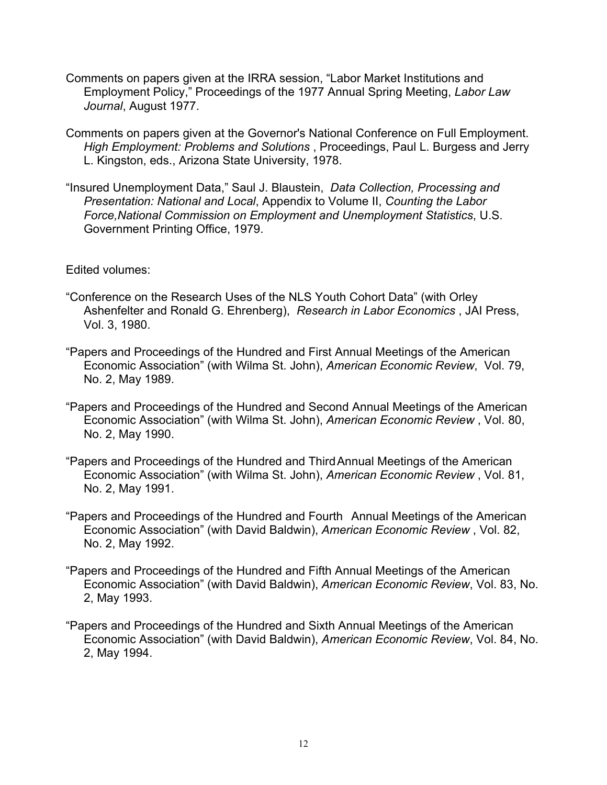- Comments on papers given at the IRRA session, "Labor Market Institutions and Employment Policy," Proceedings of the 1977 Annual Spring Meeting, *Labor Law Journal*, August 1977.
- Comments on papers given at the Governor's National Conference on Full Employment. *High Employment: Problems and Solutions* , Proceedings, Paul L. Burgess and Jerry L. Kingston, eds., Arizona State University, 1978.
- "Insured Unemployment Data," Saul J. Blaustein, *Data Collection, Processing and Presentation: National and Local*, Appendix to Volume II, *Counting the Labor Force,National Commission on Employment and Unemployment Statistics*, U.S. Government Printing Office, 1979.

Edited volumes:

- "Conference on the Research Uses of the NLS Youth Cohort Data" (with Orley Ashenfelter and Ronald G. Ehrenberg), *Research in Labor Economics* , JAI Press, Vol. 3, 1980.
- "Papers and Proceedings of the Hundred and First Annual Meetings of the American Economic Association" (with Wilma St. John), *American Economic Review*, Vol. 79, No. 2, May 1989.
- "Papers and Proceedings of the Hundred and Second Annual Meetings of the American Economic Association" (with Wilma St. John), *American Economic Review* , Vol. 80, No. 2, May 1990.
- "Papers and Proceedings of the Hundred and ThirdAnnual Meetings of the American Economic Association" (with Wilma St. John), *American Economic Review* , Vol. 81, No. 2, May 1991.
- "Papers and Proceedings of the Hundred and Fourth Annual Meetings of the American Economic Association" (with David Baldwin), *American Economic Review* , Vol. 82, No. 2, May 1992.
- "Papers and Proceedings of the Hundred and Fifth Annual Meetings of the American Economic Association" (with David Baldwin), *American Economic Review*, Vol. 83, No. 2, May 1993.
- "Papers and Proceedings of the Hundred and Sixth Annual Meetings of the American Economic Association" (with David Baldwin), *American Economic Review*, Vol. 84, No. 2, May 1994.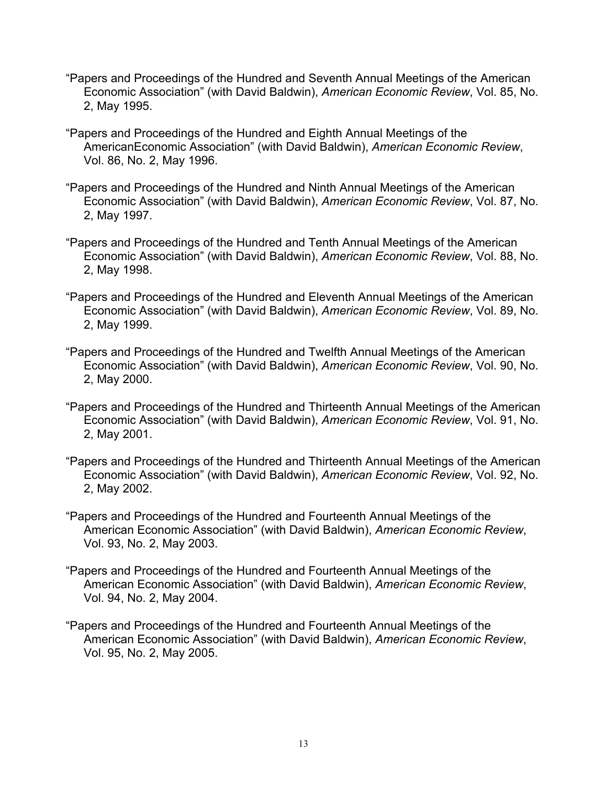- "Papers and Proceedings of the Hundred and Seventh Annual Meetings of the American Economic Association" (with David Baldwin), *American Economic Review*, Vol. 85, No. 2, May 1995.
- "Papers and Proceedings of the Hundred and Eighth Annual Meetings of the AmericanEconomic Association" (with David Baldwin), *American Economic Review*, Vol. 86, No. 2, May 1996.
- "Papers and Proceedings of the Hundred and Ninth Annual Meetings of the American Economic Association" (with David Baldwin), *American Economic Review*, Vol. 87, No. 2, May 1997.
- "Papers and Proceedings of the Hundred and Tenth Annual Meetings of the American Economic Association" (with David Baldwin), *American Economic Review*, Vol. 88, No. 2, May 1998.
- "Papers and Proceedings of the Hundred and Eleventh Annual Meetings of the American Economic Association" (with David Baldwin), *American Economic Review*, Vol. 89, No. 2, May 1999.
- "Papers and Proceedings of the Hundred and Twelfth Annual Meetings of the American Economic Association" (with David Baldwin), *American Economic Review*, Vol. 90, No. 2, May 2000.
- "Papers and Proceedings of the Hundred and Thirteenth Annual Meetings of the American Economic Association" (with David Baldwin), *American Economic Review*, Vol. 91, No. 2, May 2001.
- "Papers and Proceedings of the Hundred and Thirteenth Annual Meetings of the American Economic Association" (with David Baldwin), *American Economic Review*, Vol. 92, No. 2, May 2002.
- "Papers and Proceedings of the Hundred and Fourteenth Annual Meetings of the American Economic Association" (with David Baldwin), *American Economic Review*, Vol. 93, No. 2, May 2003.
- "Papers and Proceedings of the Hundred and Fourteenth Annual Meetings of the American Economic Association" (with David Baldwin), *American Economic Review*, Vol. 94, No. 2, May 2004.
- "Papers and Proceedings of the Hundred and Fourteenth Annual Meetings of the American Economic Association" (with David Baldwin), *American Economic Review*, Vol. 95, No. 2, May 2005.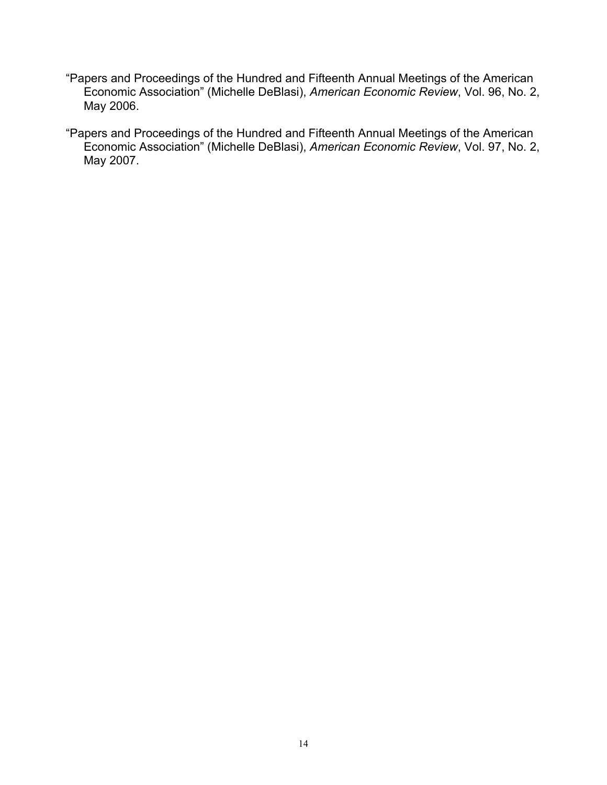- "Papers and Proceedings of the Hundred and Fifteenth Annual Meetings of the American Economic Association" (Michelle DeBlasi), *American Economic Review*, Vol. 96, No. 2, May 2006.
- "Papers and Proceedings of the Hundred and Fifteenth Annual Meetings of the American Economic Association" (Michelle DeBlasi), *American Economic Review*, Vol. 97, No. 2, May 2007.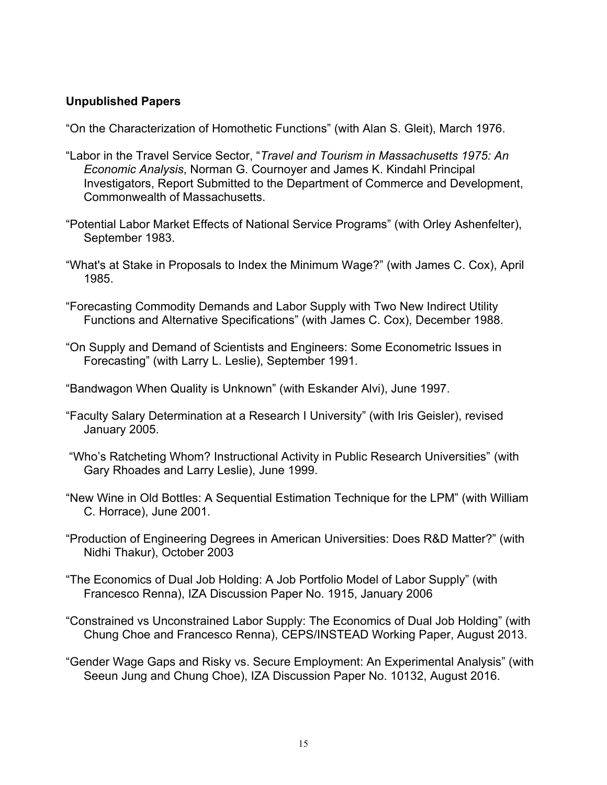### **Unpublished Papers**

"On the Characterization of Homothetic Functions" (with Alan S. Gleit), March 1976.

- "Labor in the Travel Service Sector, "*Travel and Tourism in Massachusetts 1975: An Economic Analysis*, Norman G. Cournoyer and James K. Kindahl Principal Investigators, Report Submitted to the Department of Commerce and Development, Commonwealth of Massachusetts.
- "Potential Labor Market Effects of National Service Programs" (with Orley Ashenfelter), September 1983.
- "What's at Stake in Proposals to Index the Minimum Wage?" (with James C. Cox), April 1985.
- "Forecasting Commodity Demands and Labor Supply with Two New Indirect Utility Functions and Alternative Specifications" (with James C. Cox), December 1988.
- "On Supply and Demand of Scientists and Engineers: Some Econometric Issues in Forecasting" (with Larry L. Leslie), September 1991.
- "Bandwagon When Quality is Unknown" (with Eskander Alvi), June 1997.
- "Faculty Salary Determination at a Research I University" (with Iris Geisler), revised January 2005.
- "Who's Ratcheting Whom? Instructional Activity in Public Research Universities" (with Gary Rhoades and Larry Leslie), June 1999.
- "New Wine in Old Bottles: A Sequential Estimation Technique for the LPM" (with William C. Horrace), June 2001.
- "Production of Engineering Degrees in American Universities: Does R&D Matter?" (with Nidhi Thakur), October 2003
- "The Economics of Dual Job Holding: A Job Portfolio Model of Labor Supply" (with Francesco Renna), IZA Discussion Paper No. 1915, January 2006
- "Constrained vs Unconstrained Labor Supply: The Economics of Dual Job Holding" (with Chung Choe and Francesco Renna), CEPS/INSTEAD Working Paper, August 2013.
- "Gender Wage Gaps and Risky vs. Secure Employment: An Experimental Analysis" (with Seeun Jung and Chung Choe), IZA Discussion Paper No. 10132, August 2016.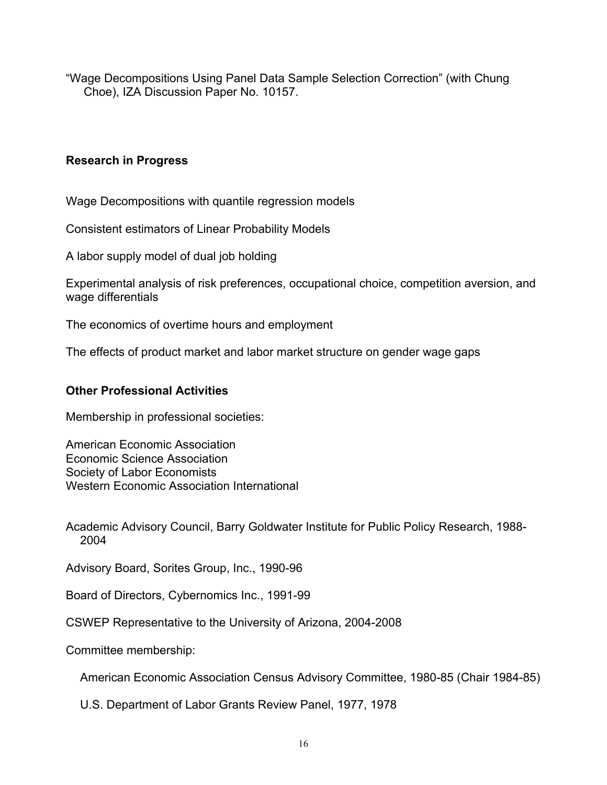"Wage Decompositions Using Panel Data Sample Selection Correction" (with Chung Choe), IZA Discussion Paper No. 10157.

# **Research in Progress**

Wage Decompositions with quantile regression models

Consistent estimators of Linear Probability Models

A labor supply model of dual job holding

Experimental analysis of risk preferences, occupational choice, competition aversion, and wage differentials

The economics of overtime hours and employment

The effects of product market and labor market structure on gender wage gaps

# **Other Professional Activities**

Membership in professional societies:

American Economic Association Economic Science Association Society of Labor Economists Western Economic Association International

Academic Advisory Council, Barry Goldwater Institute for Public Policy Research, 1988- 2004

Advisory Board, Sorites Group, Inc., 1990-96

Board of Directors, Cybernomics Inc., 1991-99

CSWEP Representative to the University of Arizona, 2004-2008

Committee membership:

American Economic Association Census Advisory Committee, 1980-85 (Chair 1984-85)

U.S. Department of Labor Grants Review Panel, 1977, 1978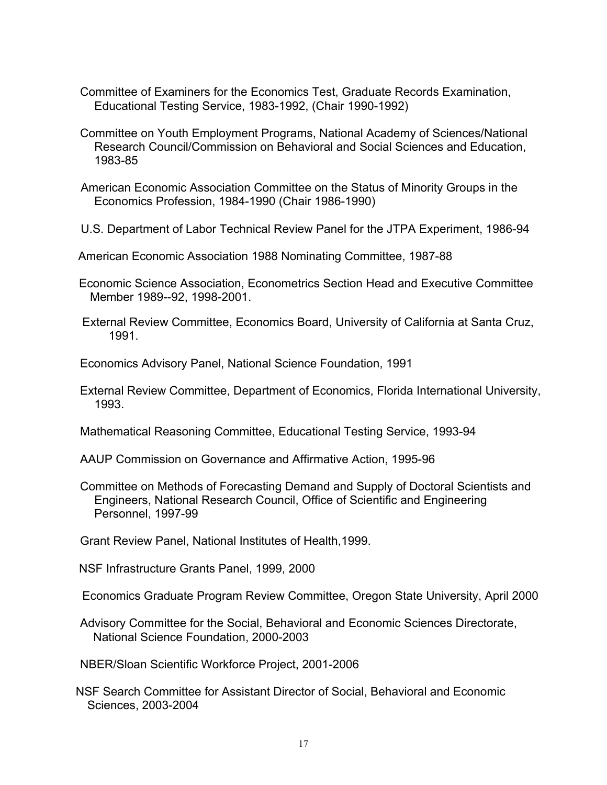- Committee of Examiners for the Economics Test, Graduate Records Examination, Educational Testing Service, 1983-1992, (Chair 1990-1992)
- Committee on Youth Employment Programs, National Academy of Sciences/National Research Council/Commission on Behavioral and Social Sciences and Education, 1983-85
- American Economic Association Committee on the Status of Minority Groups in the Economics Profession, 1984-1990 (Chair 1986-1990)
- U.S. Department of Labor Technical Review Panel for the JTPA Experiment, 1986-94
- American Economic Association 1988 Nominating Committee, 1987-88
- Economic Science Association, Econometrics Section Head and Executive Committee Member 1989--92, 1998-2001.
- External Review Committee, Economics Board, University of California at Santa Cruz, 1991.
- Economics Advisory Panel, National Science Foundation, 1991
- External Review Committee, Department of Economics, Florida International University, 1993.
- Mathematical Reasoning Committee, Educational Testing Service, 1993-94
- AAUP Commission on Governance and Affirmative Action, 1995-96
- Committee on Methods of Forecasting Demand and Supply of Doctoral Scientists and Engineers, National Research Council, Office of Scientific and Engineering Personnel, 1997-99
- Grant Review Panel, National Institutes of Health,1999.
- NSF Infrastructure Grants Panel, 1999, 2000
- Economics Graduate Program Review Committee, Oregon State University, April 2000
- Advisory Committee for the Social, Behavioral and Economic Sciences Directorate, National Science Foundation, 2000-2003
- NBER/Sloan Scientific Workforce Project, 2001-2006
- NSF Search Committee for Assistant Director of Social, Behavioral and Economic Sciences, 2003-2004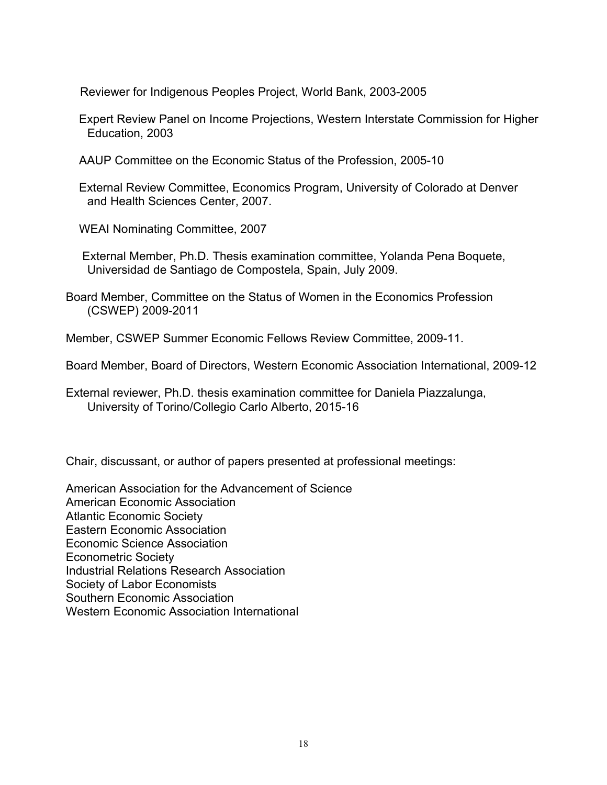Reviewer for Indigenous Peoples Project, World Bank, 2003-2005

 Expert Review Panel on Income Projections, Western Interstate Commission for Higher Education, 2003

AAUP Committee on the Economic Status of the Profession, 2005-10

 External Review Committee, Economics Program, University of Colorado at Denver and Health Sciences Center, 2007.

WEAI Nominating Committee, 2007

 External Member, Ph.D. Thesis examination committee, Yolanda Pena Boquete, Universidad de Santiago de Compostela, Spain, July 2009.

Board Member, Committee on the Status of Women in the Economics Profession (CSWEP) 2009-2011

Member, CSWEP Summer Economic Fellows Review Committee, 2009-11.

Board Member, Board of Directors, Western Economic Association International, 2009-12

External reviewer, Ph.D. thesis examination committee for Daniela Piazzalunga, University of Torino/Collegio Carlo Alberto, 2015-16

Chair, discussant, or author of papers presented at professional meetings:

American Association for the Advancement of Science American Economic Association Atlantic Economic Society Eastern Economic Association Economic Science Association Econometric Society Industrial Relations Research Association Society of Labor Economists Southern Economic Association Western Economic Association International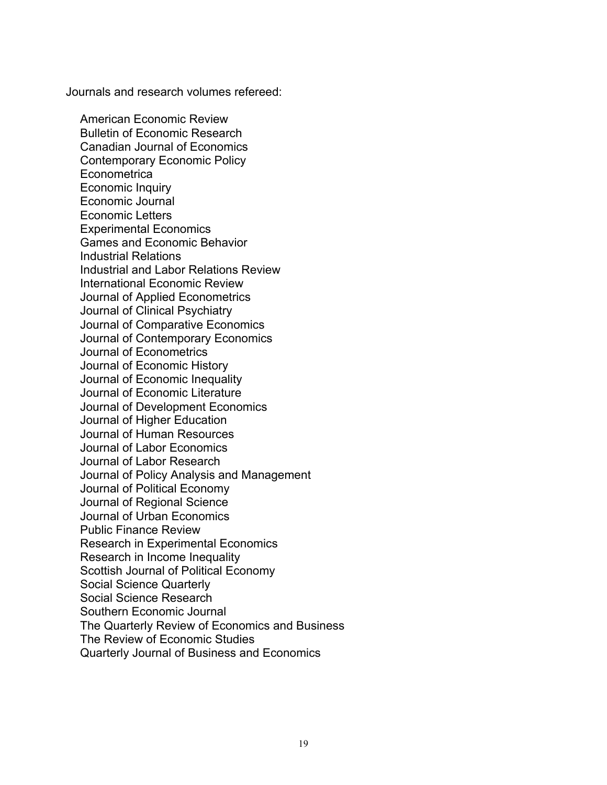Journals and research volumes refereed:

American Economic Review Bulletin of Economic Research Canadian Journal of Economics Contemporary Economic Policy **Econometrica** Economic Inquiry Economic Journal Economic Letters Experimental Economics Games and Economic Behavior Industrial Relations Industrial and Labor Relations Review International Economic Review Journal of Applied Econometrics Journal of Clinical Psychiatry Journal of Comparative Economics Journal of Contemporary Economics Journal of Econometrics Journal of Economic History Journal of Economic Inequality Journal of Economic Literature Journal of Development Economics Journal of Higher Education Journal of Human Resources Journal of Labor Economics Journal of Labor Research Journal of Policy Analysis and Management Journal of Political Economy Journal of Regional Science Journal of Urban Economics Public Finance Review Research in Experimental Economics Research in Income Inequality Scottish Journal of Political Economy Social Science Quarterly Social Science Research Southern Economic Journal The Quarterly Review of Economics and Business The Review of Economic Studies Quarterly Journal of Business and Economics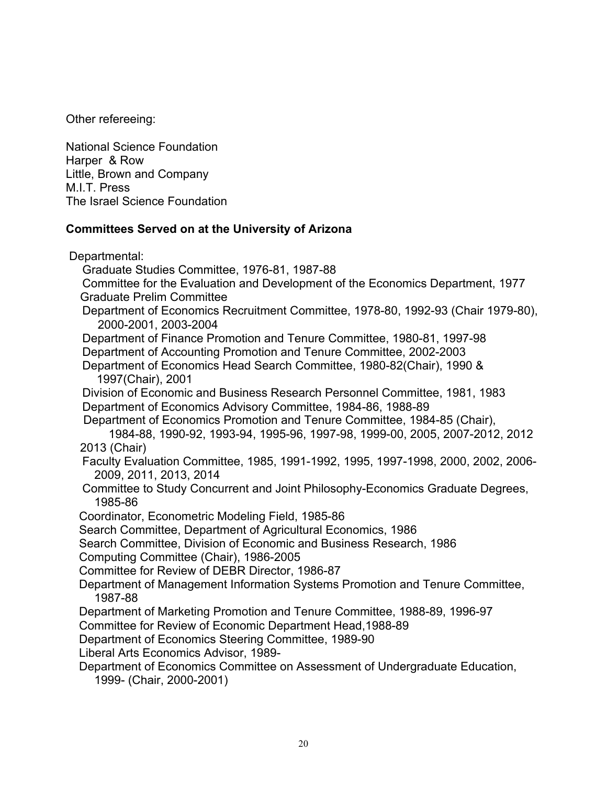Other refereeing:

National Science Foundation Harper & Row Little, Brown and Company M.I.T. Press The Israel Science Foundation

### **Committees Served on at the University of Arizona**

Departmental: Graduate Studies Committee, 1976-81, 1987-88 Committee for the Evaluation and Development of the Economics Department, 1977 Graduate Prelim Committee Department of Economics Recruitment Committee, 1978-80, 1992-93 (Chair 1979-80), 2000-2001, 2003-2004 Department of Finance Promotion and Tenure Committee, 1980-81, 1997-98 Department of Accounting Promotion and Tenure Committee, 2002-2003 Department of Economics Head Search Committee, 1980-82(Chair), 1990 & 1997(Chair), 2001 Division of Economic and Business Research Personnel Committee, 1981, 1983 Department of Economics Advisory Committee, 1984-86, 1988-89 Department of Economics Promotion and Tenure Committee, 1984-85 (Chair), 1984-88, 1990-92, 1993-94, 1995-96, 1997-98, 1999-00, 2005, 2007-2012, 2012 2013 (Chair) Faculty Evaluation Committee, 1985, 1991-1992, 1995, 1997-1998, 2000, 2002, 2006- 2009, 2011, 2013, 2014 Committee to Study Concurrent and Joint Philosophy-Economics Graduate Degrees, 1985-86 Coordinator, Econometric Modeling Field, 1985-86 Search Committee, Department of Agricultural Economics, 1986 Search Committee, Division of Economic and Business Research, 1986 Computing Committee (Chair), 1986-2005 Committee for Review of DEBR Director, 1986-87 Department of Management Information Systems Promotion and Tenure Committee, 1987-88 Department of Marketing Promotion and Tenure Committee, 1988-89, 1996-97 Committee for Review of Economic Department Head,1988-89 Department of Economics Steering Committee, 1989-90 Liberal Arts Economics Advisor, 1989- Department of Economics Committee on Assessment of Undergraduate Education, 1999- (Chair, 2000-2001)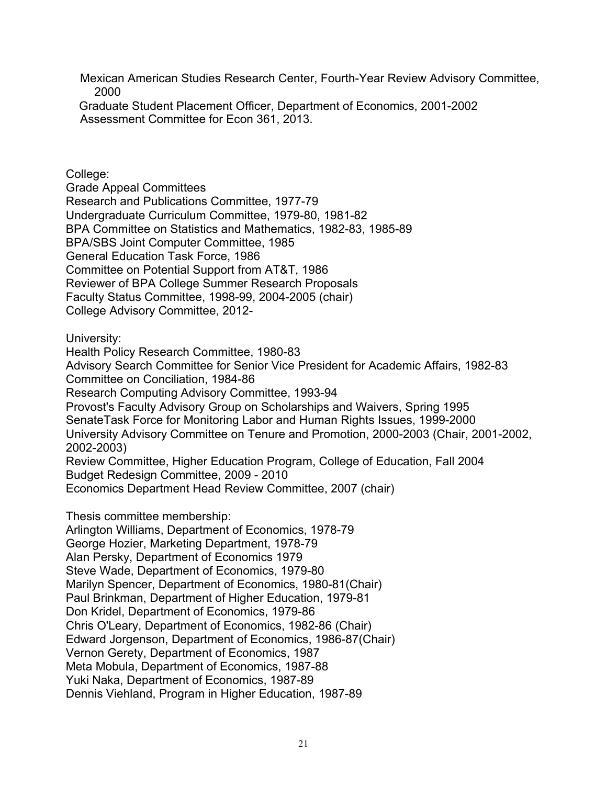Mexican American Studies Research Center, Fourth-Year Review Advisory Committee, 2000

 Graduate Student Placement Officer, Department of Economics, 2001-2002 Assessment Committee for Econ 361, 2013.

College:

Grade Appeal Committees Research and Publications Committee, 1977-79 Undergraduate Curriculum Committee, 1979-80, 1981-82 BPA Committee on Statistics and Mathematics, 1982-83, 1985-89 BPA/SBS Joint Computer Committee, 1985 General Education Task Force, 1986 Committee on Potential Support from AT&T, 1986 Reviewer of BPA College Summer Research Proposals Faculty Status Committee, 1998-99, 2004-2005 (chair) College Advisory Committee, 2012-

University:

Health Policy Research Committee, 1980-83 Advisory Search Committee for Senior Vice President for Academic Affairs, 1982-83 Committee on Conciliation, 1984-86 Research Computing Advisory Committee, 1993-94 Provost's Faculty Advisory Group on Scholarships and Waivers, Spring 1995 SenateTask Force for Monitoring Labor and Human Rights Issues, 1999-2000 University Advisory Committee on Tenure and Promotion, 2000-2003 (Chair, 2001-2002, 2002-2003) Review Committee, Higher Education Program, College of Education, Fall 2004 Budget Redesign Committee, 2009 - 2010 Economics Department Head Review Committee, 2007 (chair)

Thesis committee membership:

Arlington Williams, Department of Economics, 1978-79 George Hozier, Marketing Department, 1978-79 Alan Persky, Department of Economics 1979 Steve Wade, Department of Economics, 1979-80 Marilyn Spencer, Department of Economics, 1980-81(Chair) Paul Brinkman, Department of Higher Education, 1979-81 Don Kridel, Department of Economics, 1979-86 Chris O'Leary, Department of Economics, 1982-86 (Chair) Edward Jorgenson, Department of Economics, 1986-87(Chair) Vernon Gerety, Department of Economics, 1987 Meta Mobula, Department of Economics, 1987-88 Yuki Naka, Department of Economics, 1987-89 Dennis Viehland, Program in Higher Education, 1987-89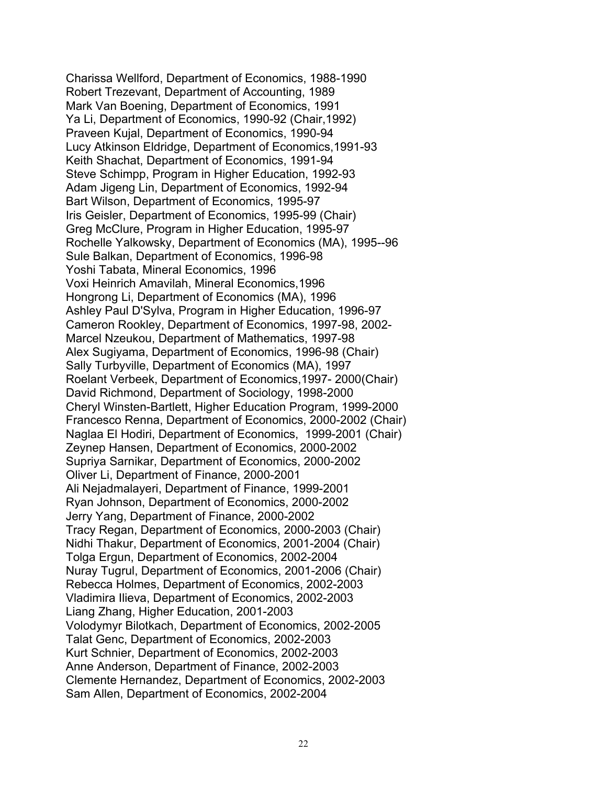Charissa Wellford, Department of Economics, 1988-1990 Robert Trezevant, Department of Accounting, 1989 Mark Van Boening, Department of Economics, 1991 Ya Li, Department of Economics, 1990-92 (Chair,1992) Praveen Kujal, Department of Economics, 1990-94 Lucy Atkinson Eldridge, Department of Economics,1991-93 Keith Shachat, Department of Economics, 1991-94 Steve Schimpp, Program in Higher Education, 1992-93 Adam Jigeng Lin, Department of Economics, 1992-94 Bart Wilson, Department of Economics, 1995-97 Iris Geisler, Department of Economics, 1995-99 (Chair) Greg McClure, Program in Higher Education, 1995-97 Rochelle Yalkowsky, Department of Economics (MA), 1995--96 Sule Balkan, Department of Economics, 1996-98 Yoshi Tabata, Mineral Economics, 1996 Voxi Heinrich Amavilah, Mineral Economics,1996 Hongrong Li, Department of Economics (MA), 1996 Ashley Paul D'Sylva, Program in Higher Education, 1996-97 Cameron Rookley, Department of Economics, 1997-98, 2002- Marcel Nzeukou, Department of Mathematics, 1997-98 Alex Sugiyama, Department of Economics, 1996-98 (Chair) Sally Turbyville, Department of Economics (MA), 1997 Roelant Verbeek, Department of Economics,1997- 2000(Chair) David Richmond, Department of Sociology, 1998-2000 Cheryl Winsten-Bartlett, Higher Education Program, 1999-2000 Francesco Renna, Department of Economics, 2000-2002 (Chair) Naglaa El Hodiri, Department of Economics, 1999-2001 (Chair) Zeynep Hansen, Department of Economics, 2000-2002 Supriya Sarnikar, Department of Economics, 2000-2002 Oliver Li, Department of Finance, 2000-2001 Ali Nejadmalayeri, Department of Finance, 1999-2001 Ryan Johnson, Department of Economics, 2000-2002 Jerry Yang, Department of Finance, 2000-2002 Tracy Regan, Department of Economics, 2000-2003 (Chair) Nidhi Thakur, Department of Economics, 2001-2004 (Chair) Tolga Ergun, Department of Economics, 2002-2004 Nuray Tugrul, Department of Economics, 2001-2006 (Chair) Rebecca Holmes, Department of Economics, 2002-2003 Vladimira Ilieva, Department of Economics, 2002-2003 Liang Zhang, Higher Education, 2001-2003 Volodymyr Bilotkach, Department of Economics, 2002-2005 Talat Genc, Department of Economics, 2002-2003 Kurt Schnier, Department of Economics, 2002-2003 Anne Anderson, Department of Finance, 2002-2003 Clemente Hernandez, Department of Economics, 2002-2003 Sam Allen, Department of Economics, 2002-2004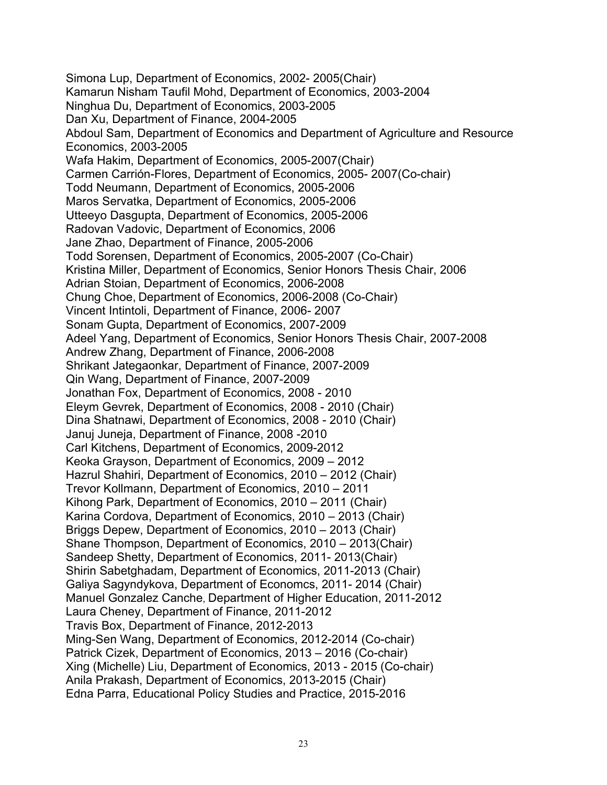Simona Lup, Department of Economics, 2002- 2005(Chair) Kamarun Nisham Taufil Mohd, Department of Economics, 2003-2004 Ninghua Du, Department of Economics, 2003-2005 Dan Xu, Department of Finance, 2004-2005 Abdoul Sam, Department of Economics and Department of Agriculture and Resource Economics, 2003-2005 Wafa Hakim, Department of Economics, 2005-2007(Chair) Carmen Carrión-Flores, Department of Economics, 2005- 2007(Co-chair) Todd Neumann, Department of Economics, 2005-2006 Maros Servatka, Department of Economics, 2005-2006 Utteeyo Dasgupta, Department of Economics, 2005-2006 Radovan Vadovic, Department of Economics, 2006 Jane Zhao, Department of Finance, 2005-2006 Todd Sorensen, Department of Economics, 2005-2007 (Co-Chair) Kristina Miller, Department of Economics, Senior Honors Thesis Chair, 2006 Adrian Stoian, Department of Economics, 2006-2008 Chung Choe, Department of Economics, 2006-2008 (Co-Chair) Vincent Intintoli, Department of Finance, 2006- 2007 Sonam Gupta, Department of Economics, 2007-2009 Adeel Yang, Department of Economics, Senior Honors Thesis Chair, 2007-2008 Andrew Zhang, Department of Finance, 2006-2008 Shrikant Jategaonkar, Department of Finance, 2007-2009 Qin Wang, Department of Finance, 2007-2009 Jonathan Fox, Department of Economics, 2008 - 2010 Eleym Gevrek, Department of Economics, 2008 - 2010 (Chair) Dina Shatnawi, Department of Economics, 2008 - 2010 (Chair) Januj Juneja, Department of Finance, 2008 -2010 Carl Kitchens, Department of Economics, 2009-2012 Keoka Grayson, Department of Economics, 2009 – 2012 Hazrul Shahiri, Department of Economics, 2010 – 2012 (Chair) Trevor Kollmann, Department of Economics, 2010 – 2011 Kihong Park, Department of Economics, 2010 – 2011 (Chair) Karina Cordova, Department of Economics, 2010 – 2013 (Chair) Briggs Depew, Department of Economics, 2010 – 2013 (Chair) Shane Thompson, Department of Economics, 2010 – 2013(Chair) Sandeep Shetty, Department of Economics, 2011- 2013(Chair) Shirin Sabetghadam, Department of Economics, 2011-2013 (Chair) Galiya Sagyndykova, Department of Economcs, 2011- 2014 (Chair) Manuel Gonzalez Canche, Department of Higher Education, 2011-2012 Laura Cheney, Department of Finance, 2011-2012 Travis Box, Department of Finance, 2012-2013 Ming-Sen Wang, Department of Economics, 2012-2014 (Co-chair) Patrick Cizek, Department of Economics, 2013 – 2016 (Co-chair) Xing (Michelle) Liu, Department of Economics, 2013 - 2015 (Co-chair) Anila Prakash, Department of Economics, 2013-2015 (Chair) Edna Parra, Educational Policy Studies and Practice, 2015-2016